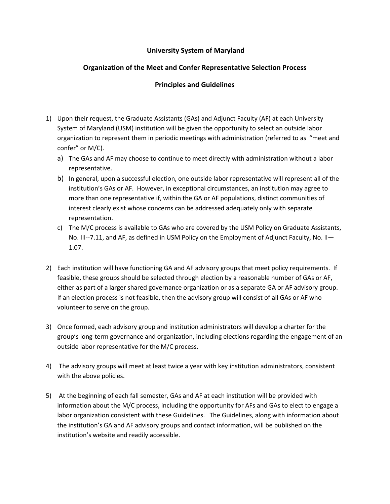## **University System of Maryland**

## **Organization of the Meet and Confer Representative Selection Process**

## **Principles and Guidelines**

- 1) Upon their request, the Graduate Assistants (GAs) and Adjunct Faculty (AF) at each University System of Maryland (USM) institution will be given the opportunity to select an outside labor organization to represent them in periodic meetings with administration (referred to as "meet and confer" or M/C).
	- a) The GAs and AF may choose to continue to meet directly with administration without a labor representative.
	- b) In general, upon a successful election, one outside labor representative will represent all of the institution's GAs or AF. However, in exceptional circumstances, an institution may agree to more than one representative if, within the GA or AF populations, distinct communities of interest clearly exist whose concerns can be addressed adequately only with separate representation.
	- c) The M/C process is available to GAs who are covered by the USM Policy on Graduate Assistants, No. III--7.11, and AF, as defined in USM Policy on the Employment of Adjunct Faculty, No. II— 1.07.
- 2) Each institution will have functioning GA and AF advisory groups that meet policy requirements. If feasible, these groups should be selected through election by a reasonable number of GAs or AF, either as part of a larger shared governance organization or as a separate GA or AF advisory group. If an election process is not feasible, then the advisory group will consist of all GAs or AF who volunteer to serve on the group.
- 3) Once formed, each advisory group and institution administrators will develop a charter for the group's long-term governance and organization, including elections regarding the engagement of an outside labor representative for the M/C process.
- 4) The advisory groups will meet at least twice a year with key institution administrators, consistent with the above policies.
- 5) At the beginning of each fall semester, GAs and AF at each institution will be provided with information about the M/C process, including the opportunity for AFs and GAs to elect to engage a labor organization consistent with these Guidelines. The Guidelines, along with information about the institution's GA and AF advisory groups and contact information, will be published on the institution's website and readily accessible.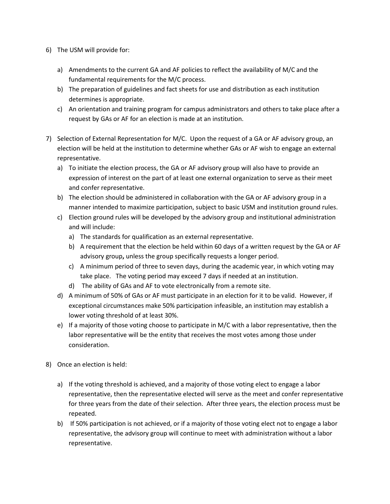- 6) The USM will provide for:
	- a) Amendments to the current GA and AF policies to reflect the availability of M/C and the fundamental requirements for the M/C process.
	- b) The preparation of guidelines and fact sheets for use and distribution as each institution determines is appropriate.
	- c) An orientation and training program for campus administrators and others to take place after a request by GAs or AF for an election is made at an institution.
- 7) Selection of External Representation for M/C. Upon the request of a GA or AF advisory group, an election will be held at the institution to determine whether GAs or AF wish to engage an external representative.
	- a) To initiate the election process, the GA or AF advisory group will also have to provide an expression of interest on the part of at least one external organization to serve as their meet and confer representative.
	- b) The election should be administered in collaboration with the GA or AF advisory group in a manner intended to maximize participation, subject to basic USM and institution ground rules.
	- c) Election ground rules will be developed by the advisory group and institutional administration and will include:
		- a) The standards for qualification as an external representative.
		- b) A requirement that the election be held within 60 days of a written request by the GA or AF advisory group**,** unless the group specifically requests a longer period.
		- c) A minimum period of three to seven days, during the academic year, in which voting may take place. The voting period may exceed 7 days if needed at an institution.
		- d) The ability of GAs and AF to vote electronically from a remote site.
	- d) A minimum of 50% of GAs or AF must participate in an election for it to be valid. However, if exceptional circumstances make 50% participation infeasible, an institution may establish a lower voting threshold of at least 30%.
	- e) If a majority of those voting choose to participate in M/C with a labor representative, then the labor representative will be the entity that receives the most votes among those under consideration.
- 8) Once an election is held:
	- a) If the voting threshold is achieved, and a majority of those voting elect to engage a labor representative, then the representative elected will serve as the meet and confer representative for three years from the date of their selection. After three years, the election process must be repeated.
	- b) If 50% participation is not achieved, or if a majority of those voting elect not to engage a labor representative, the advisory group will continue to meet with administration without a labor representative.